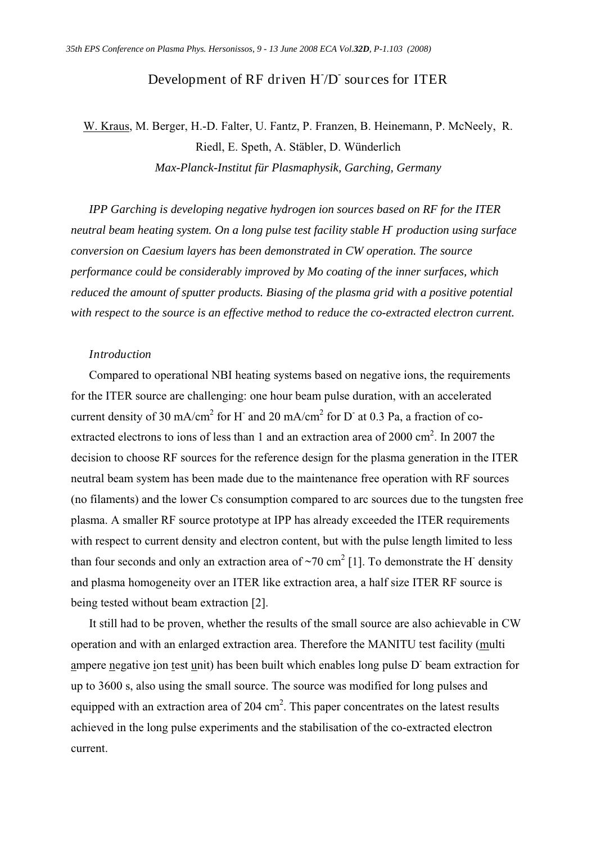## Development of RF driven H<sub>/D</sub> sources for ITER

# W. Kraus, M. Berger, H.-D. Falter, U. Fantz, P. Franzen, B. Heinemann, P. McNeely, R. Riedl, E. Speth, A. Stäbler, D. Wünderlich *Max-Planck-Institut für Plasmaphysik, Garching, Germany*

*IPP Garching is developing negative hydrogen ion sources based on RF for the ITER neutral beam heating system. On a long pulse test facility stable H- production using surface conversion on Caesium layers has been demonstrated in CW operation. The source performance could be considerably improved by Mo coating of the inner surfaces, which reduced the amount of sputter products. Biasing of the plasma grid with a positive potential with respect to the source is an effective method to reduce the co-extracted electron current.* 

#### *Introduction*

Compared to operational NBI heating systems based on negative ions, the requirements for the ITER source are challenging: one hour beam pulse duration, with an accelerated current density of 30 mA/cm<sup>2</sup> for H<sup>-</sup> and 20 mA/cm<sup>2</sup> for D<sup>-</sup> at 0.3 Pa, a fraction of coextracted electrons to ions of less than 1 and an extraction area of  $2000 \text{ cm}^2$ . In  $2007$  the decision to choose RF sources for the reference design for the plasma generation in the ITER neutral beam system has been made due to the maintenance free operation with RF sources (no filaments) and the lower Cs consumption compared to arc sources due to the tungsten free plasma. A smaller RF source prototype at IPP has already exceeded the ITER requirements with respect to current density and electron content, but with the pulse length limited to less than four seconds and only an extraction area of  $\sim$ 70 cm<sup>2</sup> [1]. To demonstrate the H<sup>-</sup> density and plasma homogeneity over an ITER like extraction area, a half size ITER RF source is being tested without beam extraction [2].

It still had to be proven, whether the results of the small source are also achievable in CW operation and with an enlarged extraction area. Therefore the MANITU test facility (multi ampere negative ion test unit) has been built which enables long pulse D beam extraction for up to 3600 s, also using the small source. The source was modified for long pulses and equipped with an extraction area of 204 cm<sup>2</sup>. This paper concentrates on the latest results achieved in the long pulse experiments and the stabilisation of the co-extracted electron current.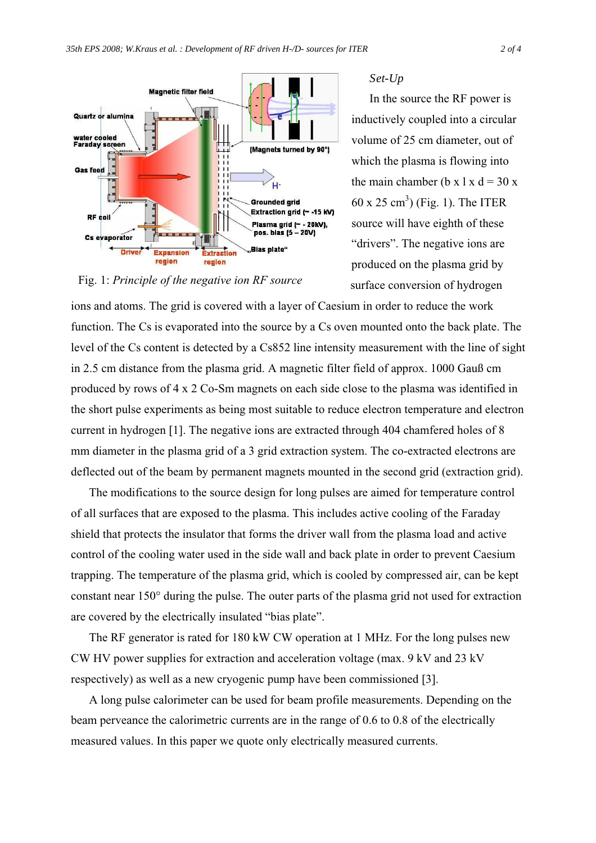

#### *Set-Up*

In the source the RF power is inductively coupled into a circular volume of 25 cm diameter, out of which the plasma is flowing into the main chamber (b x  $1 \times d = 30 \times$  $60 \times 25 \text{ cm}^3$ ) (Fig. 1). The ITER source will have eighth of these "drivers". The negative ions are produced on the plasma grid by surface conversion of hydrogen

Fig. 1: *Principle of the negative ion RF source* 

ions and atoms. The grid is covered with a layer of Caesium in order to reduce the work function. The Cs is evaporated into the source by a Cs oven mounted onto the back plate. The level of the Cs content is detected by a Cs852 line intensity measurement with the line of sight in 2.5 cm distance from the plasma grid. A magnetic filter field of approx. 1000 Gauß cm produced by rows of 4 x 2 Co-Sm magnets on each side close to the plasma was identified in the short pulse experiments as being most suitable to reduce electron temperature and electron current in hydrogen [1]. The negative ions are extracted through 404 chamfered holes of 8 mm diameter in the plasma grid of a 3 grid extraction system. The co-extracted electrons are deflected out of the beam by permanent magnets mounted in the second grid (extraction grid).

The modifications to the source design for long pulses are aimed for temperature control of all surfaces that are exposed to the plasma. This includes active cooling of the Faraday shield that protects the insulator that forms the driver wall from the plasma load and active control of the cooling water used in the side wall and back plate in order to prevent Caesium trapping. The temperature of the plasma grid, which is cooled by compressed air, can be kept constant near 150° during the pulse. The outer parts of the plasma grid not used for extraction are covered by the electrically insulated "bias plate".

The RF generator is rated for 180 kW CW operation at 1 MHz. For the long pulses new CW HV power supplies for extraction and acceleration voltage (max. 9 kV and 23 kV respectively) as well as a new cryogenic pump have been commissioned [3].

A long pulse calorimeter can be used for beam profile measurements. Depending on the beam perveance the calorimetric currents are in the range of 0.6 to 0.8 of the electrically measured values. In this paper we quote only electrically measured currents.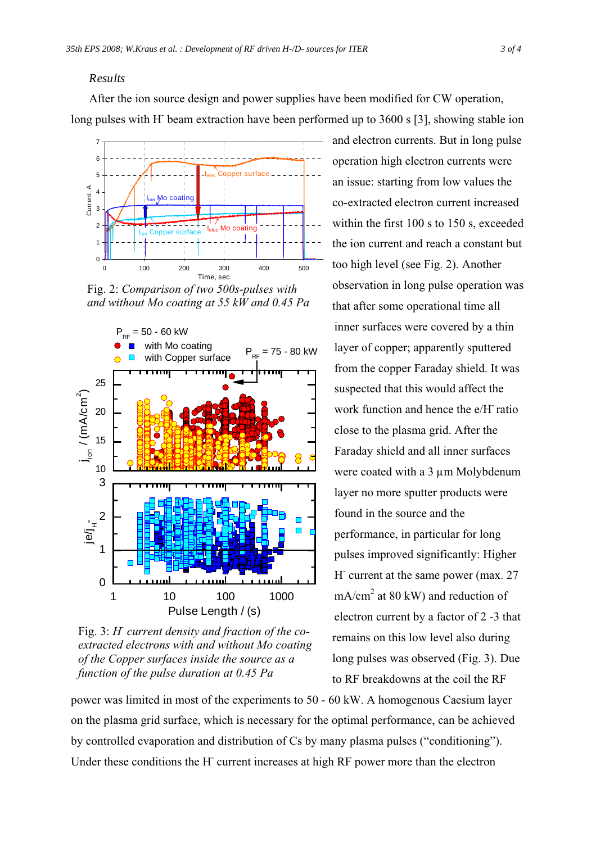#### *Results*

After the ion source design and power supplies have been modified for CW operation, long pulses with H<sup>-</sup> beam extraction have been performed up to 3600 s [3], showing stable ion



Fig. 2: *Comparison of two 500s-pulses with and without Mo coating at 55 kW and 0.45 Pa* 



Fig. 3: *H* current density and fraction of the co*extracted electrons with and without Mo coating of the Copper surfaces inside the source as a function of the pulse duration at 0.45 Pa* 

and electron currents. But in long pulse operation high electron currents were an issue: starting from low values the co-extracted electron current increased within the first 100 s to 150 s, exceeded the ion current and reach a constant but too high level (see Fig. 2). Another observation in long pulse operation was that after some operational time all inner surfaces were covered by a thin layer of copper; apparently sputtered from the copper Faraday shield. It was suspected that this would affect the work function and hence the e/H- ratio close to the plasma grid. After the Faraday shield and all inner surfaces were coated with a 3  $\mu$ m Molybdenum layer no more sputter products were found in the source and the performance, in particular for long pulses improved significantly: Higher H current at the same power (max. 27  $mA/cm<sup>2</sup>$  at 80 kW) and reduction of electron current by a factor of 2 -3 that remains on this low level also during long pulses was observed (Fig. 3). Due to RF breakdowns at the coil the RF

power was limited in most of the experiments to 50 - 60 kW. A homogenous Caesium layer on the plasma grid surface, which is necessary for the optimal performance, can be achieved by controlled evaporation and distribution of Cs by many plasma pulses ("conditioning"). Under these conditions the H<sup>-</sup> current increases at high RF power more than the electron